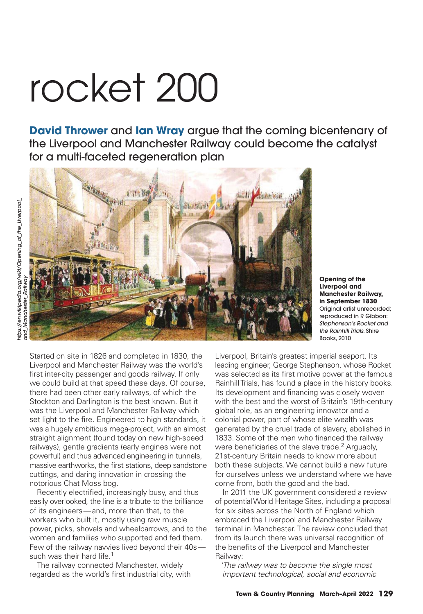# rocket 200

**David Thrower** and **Ian Wray** argue that the coming bicentenary of the Liverpool and Manchester Railway could become the catalyst for a multi-faceted regeneration plan



**Opening of the Liverpool and Manchester Railway, in September 1830** Original artist unrecorded; reproduced in R Gibbon: *Stephenson's Rocket and the Rainhill Trials*. Shire Books, 2010

Started on site in 1826 and completed in 1830, the Liverpool and Manchester Railway was the world's first inter-city passenger and goods railway. If only we could build at that speed these days. Of course, there had been other early railways, of which the Stockton and Darlington is the best known. But it was the Liverpool and Manchester Railway which set light to the fire. Engineered to high standards, it was a hugely ambitious mega-project, with an almost straight alignment (found today on new high-speed railways), gentle gradients (early engines were not powerful) and thus advanced engineering in tunnels, massive earthworks, the first stations, deep sandstone cuttings, and daring innovation in crossing the notorious Chat Moss bog.

Recently electrified, increasingly busy, and thus easily overlooked, the line is a tribute to the brilliance of its engineers — and, more than that, to the workers who built it, mostly using raw muscle power, picks, shovels and wheelbarrows, and to the women and families who supported and fed them. Few of the railway navvies lived beyond their 40ssuch was their hard life.<sup>1</sup>

 The railway connected Manchester, widely regarded as the world's first industrial city, with

Liverpool, Britain's greatest imperial seaport. Its leading engineer, George Stephenson, whose Rocket was selected as its first motive power at the famous Rainhill Trials, has found a place in the history books. Its development and financing was closely woven with the best and the worst of Britain's 19th-century global role, as an engineering innovator and a colonial power, part of whose elite wealth was generated by the cruel trade of slavery, abolished in 1833. Some of the men who financed the railway were beneficiaries of the slave trade.<sup>2</sup> Arguably, 21st-century Britain needs to know more about both these subjects. We cannot build a new future for ourselves unless we understand where we have come from, both the good and the bad.

 In 2011 the UK government considered a review of potential World Heritage Sites, including a proposal for six sites across the North of England which embraced the Liverpool and Manchester Railway terminal in Manchester. The review concluded that from its launch there was universal recognition of the benefits of the Liverpool and Manchester Railway:

*'The railway was to become the single most important technological, social and economic*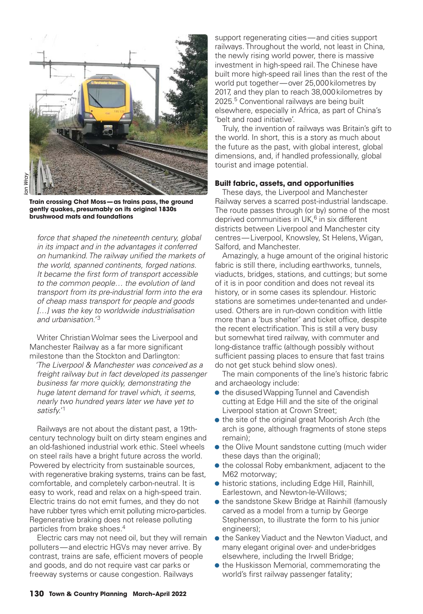

**Train crossing Chat Moss — as trains pass, the ground gently quakes, presumably on its original 1830s brushwood mats and foundations**

*force that shaped the nineteenth century, global in its impact and in the advantages it conferred*  on humankind. The railway unified the markets of *the world, spanned continents, forged nations. It became the fi rst form of transport accessible to the common people… the evolution of land transport from its pre-industrial form into the era of cheap mass transport for people and goods […] was the key to worldwide industrialisation and urbanisation.'* <sup>3</sup>

 Writer Christian Wolmar sees the Liverpool and Manchester Railway as a far more significant milestone than the Stockton and Darlington:

*'The Liverpool & Manchester was conceived as a freight railway but in fact developed its passenger business far more quickly, demonstrating the huge latent demand for travel which, it seems, nearly two hundred years later we have yet to satisfy.'*<sup>1</sup>

 Railways are not about the distant past, a 19thcentury technology built on dirty steam engines and an old-fashioned industrial work ethic. Steel wheels on steel rails have a bright future across the world. Powered by electricity from sustainable sources, with regenerative braking systems, trains can be fast, comfortable, and completely carbon-neutral. It is easy to work, read and relax on a high-speed train. Electric trains do not emit fumes, and they do not have rubber tyres which emit polluting micro-particles. Regenerative braking does not release polluting particles from brake shoes.4

 Electric cars may not need oil, but they will remain polluters — and electric HGVs may never arrive. By contrast, trains are safe, efficient movers of people and goods, and do not require vast car parks or freeway systems or cause congestion. Railways

support regenerating cities — and cities support railways. Throughout the world, not least in China, the newly rising world power, there is massive investment in high-speed rail. The Chinese have built more high-speed rail lines than the rest of the world put together — over 25,000 kilometres by 2017, and they plan to reach 38,000 kilometres by 2025.<sup>5</sup> Conventional railways are being built elsewhere, especially in Africa, as part of China's 'belt and road initiative'.

 Truly, the invention of railways was Britain's gift to the world. In short, this is a story as much about the future as the past, with global interest, global dimensions, and, if handled professionally, global tourist and image potential.

#### **Built fabric, assets, and opportunities**

These days, the Liverpool and Manchester Railway serves a scarred post-industrial landscape. The route passes through (or by) some of the most deprived communities in UK, $<sup>6</sup>$  in six different</sup> districts between Liverpool and Manchester city centres — Liverpool, Knowsley, St Helens, Wigan, Salford, and Manchester.

 Amazingly, a huge amount of the original historic fabric is still there, including earthworks, tunnels, viaducts, bridges, stations, and cuttings; but some of it is in poor condition and does not reveal its history, or in some cases its splendour. Historic stations are sometimes under-tenanted and underused. Others are in run-down condition with little more than a 'bus shelter' and ticket office, despite the recent electrification. This is still a very busy but somewhat tired railway, with commuter and long-distance traffic (although possibly without sufficient passing places to ensure that fast trains do not get stuck behind slow ones).

 The main components of the line's historic fabric and archaeology include:

- the disused Wapping Tunnel and Cavendish cutting at Edge Hill and the site of the original Liverpool station at Crown Street;
- the site of the original great Moorish Arch (the arch is gone, although fragments of stone steps remain);
- the Olive Mount sandstone cutting (much wider these days than the original);
- the colossal Roby embankment, adjacent to the M62 motorway;
- historic stations, including Edge Hill, Rainhill, Earlestown, and Newton-le-Willows;
- the sandstone Skew Bridge at Rainhill (famously carved as a model from a turnip by George Stephenson, to illustrate the form to his junior engineers);
- the Sankey Viaduct and the Newton Viaduct, and many elegant original over- and under-bridges elsewhere, including the Irwell Bridge;
- the Huskisson Memorial, commemorating the world's first railway passenger fatality;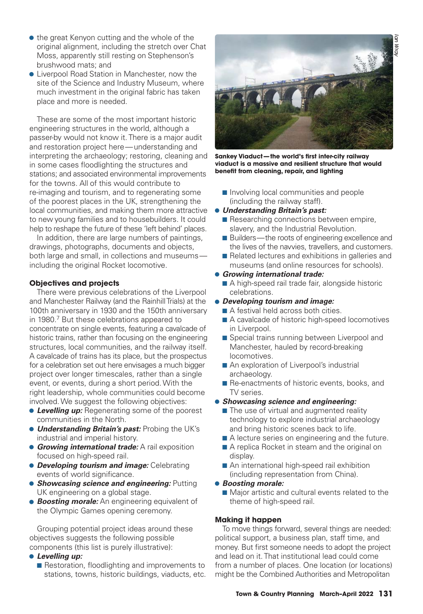- the great Kenyon cutting and the whole of the original alignment, including the stretch over Chat Moss, apparently still resting on Stephenson's brushwood mats; and
- Liverpool Road Station in Manchester, now the site of the Science and Industry Museum, where much investment in the original fabric has taken place and more is needed.

 These are some of the most important historic engineering structures in the world, although a passer-by would not know it. There is a major audit and restoration project here — understanding and interpreting the archaeology; restoring, cleaning and in some cases floodlighting the structures and stations; and associated environmental improvements for the towns. All of this would contribute to re-imaging and tourism, and to regenerating some of the poorest places in the UK, strengthening the local communities, and making them more attractive to new young families and to housebuilders. It could help to reshape the future of these 'left behind' places.

 In addition, there are large numbers of paintings, drawings, photographs, documents and objects, both large and small, in collections and museums including the original Rocket locomotive.

# **Objectives and projects**

There were previous celebrations of the Liverpool and Manchester Railway (and the Rainhill Trials) at the 100th anniversary in 1930 and the 150th anniversary in 1980.<sup>7</sup> But these celebrations appeared to concentrate on single events, featuring a cavalcade of historic trains, rather than focusing on the engineering structures, local communities, and the railway itself. A cavalcade of trains has its place, but the prospectus for a celebration set out here envisages a much bigger project over longer timescales, rather than a single event, or events, during a short period. With the right leadership, whole communities could become involved. We suggest the following objectives:

- **Levelling up:** Regenerating some of the poorest communities in the North.
- *Understanding Britain's past:* Probing the UK's industrial and imperial history.
- **Growing international trade:** A rail exposition focused on high-speed rail.
- *Developing tourism and image:* Celebrating events of world significance.
- *Showcasing science and engineering:* Putting UK engineering on a global stage.
- *Boosting morale:* An engineering equivalent of the Olympic Games opening ceremony.

 Grouping potential project ideas around these objectives suggests the following possible components (this list is purely illustrative):

### • *Levelling up:*

■ Restoration, floodlighting and improvements to stations, towns, historic buildings, viaducts, etc.



Sankey Viaduct-the world's first inter-city railway **viaduct is a massive and resilient structure that would**  benefit from cleaning, repair, and lighting

■ Involving local communities and people (including the railway staff).

#### • *Understanding Britain's past:*

- Researching connections between empire, slavery, and the Industrial Revolution.
- Builders—the roots of engineering excellence and the lives of the navvies, travellers, and customers.
- Related lectures and exhibitions in galleries and museums (and online resources for schools).
- *Growing international trade:*
	- A high-speed rail trade fair, alongside historic celebrations.
- *Developing tourism and image:*
	- A festival held across both cities.
	- A cavalcade of historic high-speed locomotives in Liverpool.
	- Special trains running between Liverpool and Manchester, hauled by record-breaking locomotives.
	- An exploration of Liverpool's industrial archaeology.
	- Re-enactments of historic events, books, and TV series.
- *Showcasing science and engineering:*
	- The use of virtual and augmented reality technology to explore industrial archaeology and bring historic scenes back to life.
	- A lecture series on engineering and the future.
	- A replica Rocket in steam and the original on display.
	- An international high-speed rail exhibition (including representation from China).

# • *Boosting morale:*

■ Major artistic and cultural events related to the theme of high-speed rail.

### **Making it happen**

To move things forward, several things are needed: political support, a business plan, staff time, and money. But first someone needs to adopt the project and lead on it. That institutional lead could come from a number of places. One location (or locations) might be the Combined Authorities and Metropolitan